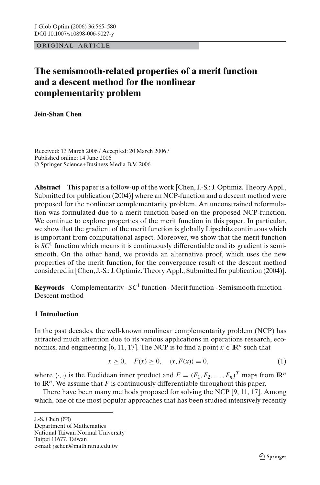ORIGINAL ARTICLE

# **The semismooth-related properties of a merit function and a descent method for the nonlinear complementarity problem**

**Jein-Shan Chen**

Received: 13 March 2006 / Accepted: 20 March 2006 / Published online: 14 June 2006 © Springer Science+Business Media B.V. 2006

**Abstract** This paper is a follow-up of the work [Chen, J.-S.: J. Optimiz. Theory Appl., Submitted for publication (2004)] where an NCP-function and a descent method were proposed for the nonlinear complementarity problem. An unconstrained reformulation was formulated due to a merit function based on the proposed NCP-function. We continue to explore properties of the merit function in this paper. In particular, we show that the gradient of the merit function is globally Lipschitz continuous which is important from computational aspect. Moreover, we show that the merit function is  $SC<sup>1</sup>$  function which means it is continuously differentiable and its gradient is semismooth. On the other hand, we provide an alternative proof, which uses the new properties of the merit function, for the convergence result of the descent method considered in [Chen, J.-S.: J. Optimiz. Theory Appl., Submitted for publication (2004)].

**Keywords** Complementarity  $\cdot$  *SC*<sup>1</sup> function  $\cdot$  Merit function  $\cdot$  Semismooth function  $\cdot$ Descent method

# **1 Introduction**

In the past decades, the well-known nonlinear complementarity problem (NCP) has attracted much attention due to its various applications in operations research, economics, and engineering [6, 11, 17]. The NCP is to find a point  $x \in \mathbb{R}^n$  such that

$$
x \ge 0, \quad F(x) \ge 0, \quad \langle x, F(x) \rangle = 0,\tag{1}
$$

where  $\langle \cdot, \cdot \rangle$  is the Euclidean inner product and  $F = (F_1, F_2, \dots, F_n)^T$  maps from  $\mathbb{R}^n$ to  $\mathbb{R}^n$ . We assume that *F* is continuously differentiable throughout this paper.

There have been many methods proposed for solving the NCP [9, 11, 17]. Among which, one of the most popular approaches that has been studied intensively recently

J.-S. Chen  $(\boxtimes)$ 

Department of Mathematics National Taiwan Normal University Taipei 11677, Taiwan e-mail: jschen@math.ntnu.edu.tw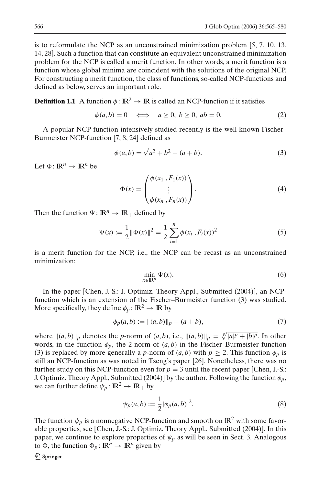is to reformulate the NCP as an unconstrained minimization problem [5, 7, 10, 13, 14, 28]. Such a function that can constitute an equivalent unconstrained minimization problem for the NCP is called a merit function. In other words, a merit function is a function whose global minima are coincident with the solutions of the original NCP. For constructing a merit function, the class of functions, so-called NCP-functions and defined as below, serves an important role.

**Definition 1.1** A function  $\phi: \mathbb{R}^2 \to \mathbb{R}$  is called an NCP-function if it satisfies

$$
\phi(a,b) = 0 \iff a \ge 0, b \ge 0, ab = 0.
$$
 (2)

A popular NCP-function intensively studied recently is the well-known Fischer– Burmeister NCP-function [7, 8, 24] defined as

$$
\phi(a,b) = \sqrt{a^2 + b^2} - (a+b).
$$
 (3)

Let  $\Phi \colon \mathbb{R}^n \to \mathbb{R}^n$  be

$$
\Phi(x) = \begin{pmatrix} \phi(x_1, F_1(x)) \\ \vdots \\ \phi(x_n, F_n(x)) \end{pmatrix} .
$$
\n(4)

Then the function  $\Psi : \mathbb{R}^n \to \mathbb{R}_+$  defined by

$$
\Psi(x) := \frac{1}{2} \|\Phi(x)\|^2 = \frac{1}{2} \sum_{i=1}^n \phi(x_i, F_i(x))^2
$$
\n(5)

is a merit function for the NCP, i.e., the NCP can be recast as an unconstrained minimization:

$$
\min_{x \in \mathbb{R}^n} \Psi(x). \tag{6}
$$

In the paper [Chen, J.-S.: J. Optimiz. Theory Appl., Submitted (2004)], an NCPfunction which is an extension of the Fischer–Burmeister function (3) was studied. More specifically, they define  $\phi_p : \mathbb{R}^2 \to \mathbb{R}$  by

$$
\phi_p(a, b) := \|(a, b)\|_p - (a + b),\tag{7}
$$

where  $\|(a, b)\|_p$  denotes the *p*-norm of  $(a, b)$ , i.e.,  $\|(a, b)\|_p = \sqrt[p]{|a|^p + |b|^p}$ . In other words, in the function  $\phi_p$ , the 2-norm of  $(a, b)$  in the Fischer–Burmeister function (3) is replaced by more generally a *p*-norm of  $(a, b)$  with  $p \ge 2$ . This function  $\phi_p$  is still an NCP-function as was noted in Tseng's paper [26]. Nonetheless, there was no further study on this NCP-function even for  $p = 3$  until the recent paper [Chen, J.-S.: J. Optimiz. Theory Appl., Submitted (2004)] by the author. Following the function  $\phi_p$ , we can further define  $\psi_p : \mathbb{R}^2 \to \mathbb{R}_+$  by

$$
\psi_p(a,b) := \frac{1}{2} |\phi_p(a,b)|^2.
$$
 (8)

The function  $\psi_p$  is a nonnegative NCP-function and smooth on  $\mathbb{R}^2$  with some favorable properties, see [Chen, J.-S.: J. Optimiz. Theory Appl., Submitted (2004)]. In this paper, we continue to explore properties of  $\psi_p$  as will be seen in Sect. 3. Analogous to  $\Phi$ , the function  $\Phi_p : \mathbb{R}^n \to \mathbb{R}^n$  given by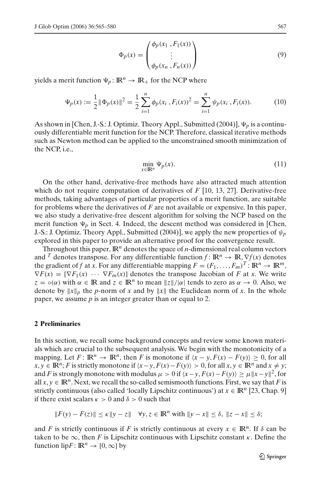$$
\Phi_p(x) = \begin{pmatrix} \phi_p(x_1, F_1(x)) \\ \vdots \\ \phi_p(x_n, F_n(x)) \end{pmatrix}
$$
\n(9)

yields a merit function  $\Psi_p : \mathbb{R}^n \to \mathbb{R}_+$  for the NCP where

$$
\Psi_p(x) := \frac{1}{2} \|\Phi_p(x)\|^2 = \frac{1}{2} \sum_{i=1}^n \phi_p(x_i, F_i(x))^2 = \sum_{i=1}^n \psi_p(x_i, F_i(x)).
$$
 (10)

As shown in [Chen, J.-S.: J. Optimiz. Theory Appl., Submitted (2004)],  $\Psi_p$  is a continuously differentiable merit function for the NCP. Therefore, classical iterative methods such as Newton method can be applied to the unconstrained smooth minimization of the NCP, i.e.,

$$
\min_{x \in \mathbb{R}^n} \Psi_p(x). \tag{11}
$$

On the other hand, derivative-free methods have also attracted much attention which do not require computation of derivatives of *F* [10, 13, 27]. Derivative-free methods, taking advantages of particular properties of a merit function, are suitable for problems where the derivatives of *F* are not available or expensive. In this paper, we also study a derivative-free descent algorithm for solving the NCP based on the merit function  $\Psi_p$  in Sect. 4. Indeed, the descent method was considered in [Chen, J.-S.: J. Optimiz. Theory Appl., Submitted (2004)], we apply the new properties of  $\psi_p$ explored in this paper to provide an alternative proof for the convergence result.

Throughout this paper,  $\mathbb{R}^n$  denotes the space of *n*-dimensional real column vectors and <sup>*T*</sup> denotes transpose. For any differentiable function  $f: \mathbb{R}^n \to \mathbb{R}, \nabla f(x)$  denotes the gradient of *f* at *x*. For any differentiable mapping  $F = (F_1, \ldots, F_m)^T : \mathbb{R}^n \to \mathbb{R}^m$ ,  $\nabla F(x) = [\nabla F_1(x) \cdots \nabla F_m(x)]$  denotes the transpose Jacobian of *F* at *x*. We write  $z = \circ(\alpha)$  with  $\alpha \in \mathbb{R}$  and  $z \in \mathbb{R}^n$  to mean  $|z||/|\alpha|$  tends to zero as  $\alpha \to 0$ . Also, we denote by  $||x||_p$  the *p*-norm of *x* and by  $||x||$  the Euclidean norm of *x*. In the whole paper, we assume *p* is an integer greater than or equal to 2.

### **2 Preliminaries**

In this section, we recall some background concepts and review some known materials which are crucial to the subsequent analysis. We begin with the monotonicity of a mapping. Let  $F: \mathbb{R}^n \to \mathbb{R}^n$ , then *F* is monotone if  $\langle x - y, F(x) - F(y) \rangle \geq 0$ , for all *x*, *y* ∈ **IR**<sup>*n*</sup>; *F* is strictly monotone if  $\langle x-y, F(x) - F(y) \rangle > 0$ , for all  $x, y \in \mathbb{R}^n$  and  $x \neq y$ ; and *F* is strongly monotone with modulus  $\mu > 0$  if  $\langle x - y, F(x) - F(y) \rangle \ge \mu \|x - y\|^2$ , for all  $x, y \in \mathbb{R}^n$ . Next, we recall the so-called semismooth functions. First, we say that *F* is strictly continuous (also called 'locally Lipschitz continuous') at  $x \in \mathbb{R}^n$  [23, Chap. 9] if there exist scalars  $\kappa > 0$  and  $\delta > 0$  such that

$$
||F(y) - F(z)|| \le \kappa ||y - z|| \quad \forall y, z \in \mathbb{R}^n \text{ with } ||y - x|| \le \delta, ||z - x|| \le \delta;
$$

and *F* is strictly continuous if *F* is strictly continuous at every  $x \in \mathbb{R}^n$ . If  $\delta$  can be taken to be  $\infty$ , then *F* is Lipschitz continuous with Lipschitz constant  $\kappa$ . Define the function lip*F* :  $\mathbb{R}^n \to [0,\infty]$  by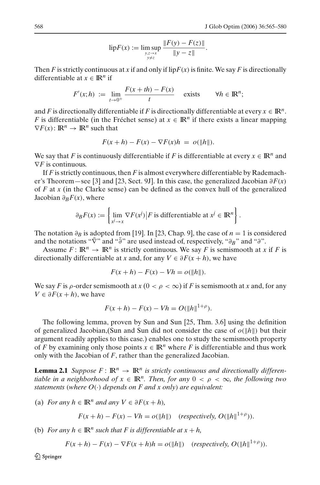lip
$$
F(x) := \limsup_{\substack{y,z \to x \\ y \neq z}} \frac{\|F(y) - F(z)\|}{\|y - z\|}.
$$

Then *F* is strictly continuous at *x* if and only if lip $F(x)$  is finite. We say *F* is directionally differentiable at  $x \in \mathbb{R}^n$  if

$$
F'(x;h) := \lim_{t \to 0^+} \frac{F(x+th) - F(x)}{t} \quad \text{exists} \quad \forall h \in \mathbb{R}^n;
$$

and *F* is directionally differentiable if *F* is directionally differentiable at every  $x \in \mathbb{R}^n$ . *F* is differentiable (in the Fréchet sense) at  $x \in \mathbb{R}^n$  if there exists a linear mapping  $\nabla F(x)$ :  $\mathbb{R}^n \to \mathbb{R}^n$  such that

$$
F(x+h) - F(x) - \nabla F(x)h = o(\Vert h \Vert).
$$

We say that *F* is continuously differentiable if *F* is differentiable at every  $x \in \mathbb{R}^n$  and ∇*F* is continuous.

If *F* is strictly continuous, then *F* is almost everywhere differentiable by Rademacher's Theorem—see [3] and [23, Sect. 9J]. In this case, the generalized Jacobian  $\partial F(x)$ of *F* at *x* (in the Clarke sense) can be defined as the convex hull of the generalized Jacobian ∂*BF*(*x*), where

$$
\partial_B F(x) := \left\{ \lim_{x \to x} \nabla F(x^j) \middle| F \text{ is differentiable at } x^j \in \mathbb{R}^n \right\}.
$$

The notation  $\partial_B$  is adopted from [19]. In [23, Chap. 9], the case of *n* = 1 is considered and the notations " $\bar{\nabla}$ " and " $\bar{\partial}$ " are used instead of, respectively, " $\partial_B$ " and " $\partial$ ".

Assume  $F: \mathbb{R}^n \to \mathbb{R}^n$  is strictly continuous. We say F is semismooth at *x* if F is directionally differentiable at *x* and, for any  $V \in \partial F(x+h)$ , we have

$$
F(x+h) - F(x) - Vh = o(\|h\|).
$$

We say *F* is  $\rho$ -order semismooth at  $x$  (0 <  $\rho$  <  $\infty$ ) if *F* is semismooth at *x* and, for any *V* ∈  $\partial F(x + h)$ , we have

$$
F(x+h) - F(x) - Vh = O(||h||^{1+\rho}).
$$

The following lemma, proven by Sun and Sun [25, Thm. 3.6] using the definition of generalized Jacobian,(Sun and Sun did not consider the case of  $o(\Vert h \Vert)$  but their argument readily applies to this case.) enables one to study the semismooth property of *F* by examining only those points  $x \in \mathbb{R}^n$  where *F* is differentiable and thus work only with the Jacobian of *F*, rather than the generalized Jacobian.

**Lemma 2.1** *Suppose*  $F: \mathbb{R}^n \to \mathbb{R}^n$  *is strictly continuous and directionally differentiable in a neighborhood of*  $x \in \mathbb{R}^n$ . *Then, for any*  $0 < \rho < \infty$ *, the following two statements* (*where O*(·) *depends on F and x only*) *are equivalent:*

(a) For any 
$$
h \in \mathbb{R}^n
$$
 and any  $V \in \partial F(x+h)$ ,

$$
F(x+h) - F(x) - Vh = o(||h||) \quad (respectively, O(||h||^{1+\rho})).
$$

(b) *For any*  $h \in \mathbb{R}^n$  *such that F is differentiable at*  $x + h$ ,

$$
F(x+h) - F(x) - \nabla F(x+h)h = o(||h||) \quad (respectively, O(||h||^{1+\rho})).
$$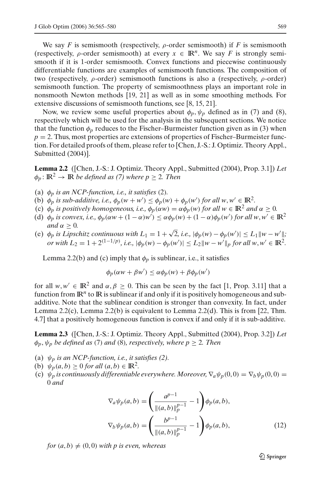We say *F* is semismooth (respectively,  $\rho$ -order semismooth) if *F* is semismooth (respectively,  $\rho$ -order semismooth) at every  $x \in \mathbb{R}^n$ . We say F is strongly semismooth if it is 1-order semismooth. Convex functions and piecewise continuously differentiable functions are examples of semismooth functions. The composition of two (respectively,  $\rho$ -order) semismooth functions is also a (respectively,  $\rho$ -order) semismooth function. The property of semismoothness plays an important role in nonsmooth Newton methods [19, 21] as well as in some smoothing methods. For extensive discussions of semismooth functions, see [8, 15, 21].

Now, we review some useful properties about  $\phi_p, \psi_p$  defined as in (7) and (8), respectively which will be used for the analysis in the subsequent sections. We notice that the function  $\phi_p$  reduces to the Fischer–Burmeister function given as in (3) when  $p = 2$ . Thus, most properties are extensions of properties of Fischer–Burmeister function. For detailed proofs of them, please refer to [Chen, J.-S.: J. Optimiz. Theory Appl., Submitted (2004)].

**Lemma 2.2** ([Chen, J.-S.: J. Optimiz. Theory Appl., Submitted (2004), Prop. 3.1]) *Let*  $\phi_p: \mathbb{R}^2 \to \mathbb{R}$  *be defined as (7) where p*  $\geq$  2*. Then* 

- (a)  $\phi_p$  *is an NCP-function, i.e., it satisfies* (2).
- (b)  $\phi_p$  *is sub-additive, i.e.,*  $\phi_p(w + w') \leq \phi_p(w) + \phi_p(w')$  *for all w, w'*  $\in \mathbb{R}^2$ *.*
- (c)  $\phi_p$  *is positively homogeneous, i.e.,*  $\phi_p(\alpha w) = \alpha \phi_p(w)$  *for all*  $w \in \mathbb{R}^2$  *and*  $\alpha > 0$ *.*
- (d)  $\phi_p$  *is convex, i.e.,*  $\phi_p(\alpha w + (1 \alpha)w') \leq \alpha \phi_p(w) + (1 \alpha) \phi_p(w')$  for all  $w, w' \in \mathbb{R}^2$ *and*  $\alpha > 0$ *.*
- (e)  $\phi_p$  is Lipschitz continuous with  $L_1 = 1 + \sqrt{2}$ , i.e.,  $|\phi_p(w) \phi_p(w')| \le L_1 \|w w'\|$ ; *or with*  $L_2 = 1 + 2^{(1-1/p)}$ , *i.e.*,  $|\phi_p(w) - \phi_p(w')| \le L_2 \|w - w'\|_p$  for all  $w, w' \in \mathbb{R}^2$ .

Lemma 2.2(b) and (c) imply that  $\phi_p$  is sublinear, i.e., it satisfies

$$
\phi_p(\alpha w + \beta w') \le \alpha \phi_p(w) + \beta \phi_p(w')
$$

for all  $w, w' \in \mathbb{R}^2$  and  $\alpha, \beta \ge 0$ . This can be seen by the fact [1, Prop. 3.11] that a function from  $\mathbb{R}^n$  to  $\mathbb R$  is sublinear if and only if it is positively homogeneous and subadditive. Note that the sublinear condition is stronger than convexity. In fact, under Lemma 2.2(c), Lemma 2.2(b) is equivalent to Lemma 2.2(d). This is from [22, Thm. 4.7] that a positively homogeneous function is convex if and only if it is sub-additive.

**Lemma 2.3** ([Chen, J.-S.: J. Optimiz. Theory Appl., Submitted (2004), Prop. 3.2]) *Let*  $\phi_p, \psi_p$  *be defined as (7) and (8), respectively, where*  $p \geq 2$ *. Then* 

- (a)  $\psi_p$  *is an NCP-function, i.e., it satisfies (2).*
- (b)  $\psi_p(a, b) \ge 0$  *for all*  $(a, b) \in \mathbb{R}^2$ .
- (c)  $\psi_p$  *is continuously differentiable everywhere. Moreover,*  $\nabla_a \psi_p(0,0) = \nabla_b \psi_p(0,0) =$ 0 *and*

$$
\nabla_a \psi_p(a, b) = \left(\frac{a^{p-1}}{\|(a, b)\|_p^{p-1}} - 1\right) \phi_p(a, b),
$$
  

$$
\nabla_b \psi_p(a, b) = \left(\frac{b^{p-1}}{\|(a, b)\|_p^{p-1}} - 1\right) \phi_p(a, b),
$$
 (12)

*for*  $(a, b) \neq (0, 0)$  *with p is even, whereas* 

 $\textcircled{2}$  Springer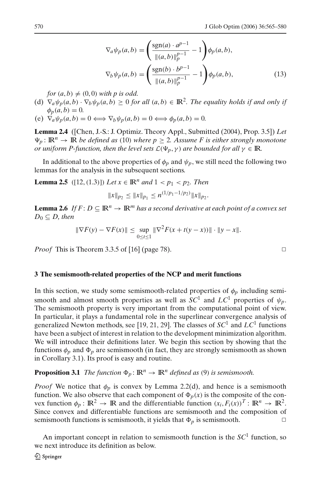$$
\nabla_a \psi_p(a, b) = \left(\frac{\text{sgn}(a) \cdot a^{p-1}}{\|(a, b)\|_p^{p-1}} - 1\right) \phi_p(a, b),
$$
  

$$
\nabla_b \psi_p(a, b) = \left(\frac{\text{sgn}(b) \cdot b^{p-1}}{\|(a, b)\|_p^{p-1}} - 1\right) \phi_p(a, b),
$$
 (13)

*for*  $(a, b) \neq (0, 0)$  *with p is odd.* 

- (d)  $\nabla_a \psi_p(a, b) \cdot \nabla_b \psi_p(a, b) \geq 0$  *for all*  $(a, b) \in \mathbb{R}^2$ . The equality holds if and only if  $\phi_p(a, b) = 0.$
- (e)  $\nabla_a \psi_p(a, b) = 0 \Longleftrightarrow \nabla_b \psi_p(a, b) = 0 \Longleftrightarrow \phi_p(a, b) = 0.$

**Lemma 2.4** ([Chen, J.-S.: J. Optimiz. Theory Appl., Submitted (2004), Prop. 3.5]) *Let*  $\Psi_p : \mathbb{R}^n \to \mathbb{R}$  *be defined as* (10) *where*  $p \geq 2$ *. Assume F is either strongly monotone or uniform P-function, then the level sets*  $\mathcal{L}(\Psi_p, \gamma)$  *are bounded for all*  $\gamma \in \mathbb{R}$ *.* 

In additional to the above properties of  $\phi_p$  and  $\psi_p$ , we still need the following two lemmas for the analysis in the subsequent sections.

**Lemma 2.5** ([12,(1.3)]) *Let*  $x \in \mathbb{R}^n$  *and*  $1 < p_1 < p_2$ *. Then* 

$$
||x||_{p_2} \le ||x||_{p_1} \le n^{(1/p_1 - 1/p_2)} ||x||_{p_2}.
$$

**Lemma 2.6** *If*  $F: D \subseteq \mathbb{R}^n \to \mathbb{R}^m$  *has a second derivative at each point of a convex set*  $D_0 \subseteq D$ *, then* 

$$
\|\nabla F(y) - \nabla F(x)\| \le \sup_{0 \le t \le 1} \|\nabla^2 F(x + t(y - x))\| \cdot \|y - x\|.
$$

*Proof* This is Theorem 3.3.5 of [16] (page 78).  $\Box$ 

#### **3 The semismooth-related properties of the NCP and merit functions**

In this section, we study some semismooth-related properties of  $\phi_p$  including semismooth and almost smooth properties as well as  $SC^1$  and  $LC^1$  properties of  $\psi_p$ . The semismooth property is very important from the computational point of view. In particular, it plays a fundamental role in the superlinear convergence analysis of generalized Newton methods, see [19, 21, 29]. The classes of *SC*<sup>1</sup> and *LC*<sup>1</sup> functions have been a subject of interest in relation to the development minimization algorithm. We will introduce their definitions later. We begin this section by showing that the functions  $\phi_p$  and  $\Phi_p$  are semismooth (in fact, they are strongly semismooth as shown in Corollary 3.1). Its proof is easy and routine.

# **Proposition 3.1** *The function*  $\Phi_p : \mathbb{R}^n \to \mathbb{R}^n$  *defined as* (9) *is semismooth.*

*Proof* We notice that  $\phi_p$  is convex by Lemma 2.2(d), and hence is a semismooth function. We also observe that each component of  $\Phi_p(x)$  is the composite of the convex function  $\phi_p : \mathbb{R}^2 \to \mathbb{R}$  and the differentiable function  $(x_i, F_i(x))^T : \mathbb{R}^n \to \mathbb{R}^2$ . Since convex and differentiable functions are semismooth and the composition of semismooth functions is semismooth, it yields that  $\Phi_p$  is semismooth.

An important concept in relation to semismooth function is the *SC*<sup>1</sup> function, so we next introduce its definition as below.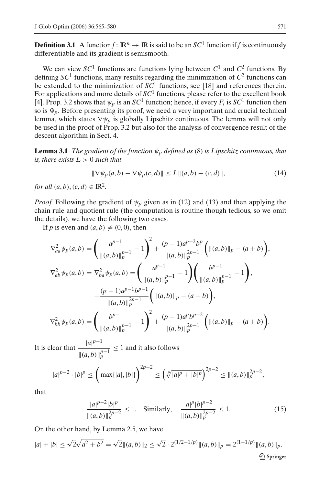**Definition 3.1** A function  $f: \mathbb{R}^n \to \mathbb{R}$  is said to be an  $SC^1$  function if f is continuously differentiable and its gradient is semismooth.

We can view  $SC<sup>1</sup>$  functions are functions lying between  $C<sup>1</sup>$  and  $C<sup>2</sup>$  functions. By defining  $SC<sup>1</sup>$  functions, many results regarding the minimization of  $C<sup>2</sup>$  functions can be extended to the minimization of *SC*<sup>1</sup> functions, see [18] and references therein. For applications and more details of  $SC<sup>1</sup>$  functions, please refer to the excellent book [4]. Prop. 3.2 shows that  $\psi_p$  is an *SC*<sup>1</sup> function; hence, if every  $F_i$  is *SC*<sup>1</sup> function then so is  $\Psi_p$ . Before presenting its proof, we need a very important and crucial technical lemma, which states  $\nabla \psi_p$  is globally Lipschitz continuous. The lemma will not only be used in the proof of Prop. 3.2 but also for the analysis of convergence result of the descent algorithm in Sect. 4.

**Lemma 3.1** *The gradient of the function*  $\psi_p$  *defined as* (8) *is Lipschitz continuous, that is, there exists*  $L > 0$  *such that* 

$$
\|\nabla \psi_p(a, b) - \nabla \psi_p(c, d)\| \le L\|(a, b) - (c, d)\|,
$$
\n(14)

*for all*  $(a, b)$ ,  $(c, d) \in \mathbb{R}^2$ .

*Proof* Following the gradient of  $\psi_p$  given as in (12) and (13) and then applying the chain rule and quotient rule (the computation is routine though tedious, so we omit the details), we have the following two cases.

If *p* is even and  $(a, b) \neq (0, 0)$ , then

$$
\nabla_{aa}^{2} \psi_{p}(a,b) = \left(\frac{a^{p-1}}{\|(a,b)\|_{p}^{p-1}} - 1\right)^{2} + \frac{(p-1)a^{p-2}b^{p}}{\|(a,b)\|_{p}^{2p-1}} \left(\|(a,b)\|_{p} - (a+b)\right),
$$
  

$$
\nabla_{ab}^{2} \psi_{p}(a,b) = \nabla_{ba}^{2} \psi_{p}(a,b) = \left(\frac{a^{p-1}}{\|(a,b)\|_{p}^{p-1}} - 1\right) \left(\frac{b^{p-1}}{\|(a,b)\|_{p}^{p-1}} - 1\right),
$$
  

$$
-\frac{(p-1)a^{p-1}b^{p-1}}{\|(a,b)\|_{p}^{2p-1}} \left(\|(a,b)\|_{p} - (a+b)\right),
$$
  

$$
\nabla_{bb}^{2} \psi_{p}(a,b) = \left(\frac{b^{p-1}}{\|(a,b)\|_{p}^{p-1}} - 1\right)^{2} + \frac{(p-1)a^{p}b^{p-2}}{\|(a,b)\|_{p}^{2p-1}} \left(\|(a,b)\|_{p} - (a+b)\right).
$$

It is clear that  $\frac{|a|^{p-1}}{p}$  $||(a,b)||_p^{p-1}$  $\leq$  1 and it also follows

$$
|a|^{p-2} \cdot |b|^p \le \left(\max\{|a|, |b|\}\right)^{2p-2} \le \left(\sqrt[p]{|a|^p+|b|^p}\right)^{2p-2} \le \|(a, b)\|_p^{2p-2},
$$

that

$$
\frac{|a|^{p-2}|b|^p}{\|(a,b)\|_p^{2p-2}} \le 1. \quad \text{Similarly,} \quad \frac{|a|^p|b|^{p-2}}{\|(a,b)\|_p^{2p-2}} \le 1. \tag{15}
$$

On the other hand, by Lemma 2.5, we have

$$
|a| + |b| \le \sqrt{2}\sqrt{a^2 + b^2} = \sqrt{2} \|(a, b)\|_2 \le \sqrt{2} \cdot 2^{(1/2 - 1/p)} \|(a, b)\|_p = 2^{(1 - 1/p)} \|(a, b)\|_p.
$$
  
  $\&\text{Springer}$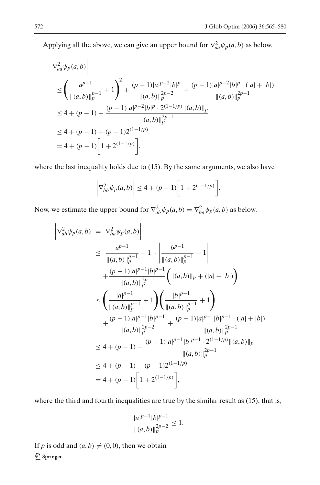Applying all the above, we can give an upper bound for  $\nabla^2_{aa} \psi_p(a, b)$  as below.

$$
\begin{split} &\left|\nabla_{aa}^{2}\psi_{P}(a,b)\right| \\ &\leq \left(\frac{a^{p-1}}{\|(a,b)\|_{p}^{p-1}}+1\right)^{2}+\frac{(p-1)|a|^{p-2}|b|^{p}}{\|(a,b)\|_{p}^{2p-2}}+\frac{(p-1)|a|^{p-2}|b|^{p}\cdot(|a|+|b|)}{\|(a,b)\|_{p}^{2p-1}} \\ &\leq 4+(p-1)+\frac{(p-1)|a|^{p-2}|b|^{p}\cdot 2^{(1-1/p)}\|(a,b)\|_{p}}{\|(a,b)\|_{p}^{2p-1}} \\ &\leq 4+(p-1)+(p-1)2^{(1-1/p)} \\ &=4+(p-1)\left[1+2^{(1-1/p)}\right], \end{split}
$$

where the last inequality holds due to (15). By the same arguments, we also have

$$
\left|\nabla_{bb}^2 \psi_p(a,b)\right| \le 4 + (p-1)\left[1 + 2^{(1-1/p)}\right].
$$

Now, we estimate the upper bound for  $\nabla^2_{ab} \psi_p(a, b) = \nabla^2_{ba} \psi_p(a, b)$  as below.

$$
\begin{split}\n\left| \nabla_{ab}^{2} \psi_{p}(a,b) \right| &= \left| \nabla_{ba}^{2} \psi_{p}(a,b) \right| \\
&\leq \left| \frac{a^{p-1}}{\|(a,b)\|_{p}^{p-1}} - 1 \right| \cdot \left| \frac{b^{p-1}}{\|(a,b)\|_{p}^{p-1}} - 1 \right| \\
&\quad + \frac{(p-1)|a|^{p-1}|b|^{p-1}}{\|(a,b)\|_{p}^{2p-1}} \left( \|(a,b)\|_{p} + (|a|+|b|) \right) \\
&\leq \left( \frac{|a|^{p-1}}{\|(a,b)\|_{p}^{p-1}} + 1 \right) \left( \frac{|b|^{p-1}}{\|(a,b)\|_{p}^{p-1}} + 1 \right) \\
&\quad + \frac{(p-1)|a|^{p-1}|b|^{p-1}}{\|(a,b)\|_{p}^{2p-2}} + \frac{(p-1)|a|^{p-1}|b|^{p-1} \cdot (|a|+|b|)}{\|(a,b)\|_{p}^{2p-1}} \\
&\leq 4 + (p-1) + \frac{(p-1)|a|^{p-1}|b|^{p-1} \cdot 2^{(1-1/p)} \|(a,b)\|_{p}}{\|(a,b)\|_{p}^{2p-1}} \\
&\leq 4 + (p-1) + (p-1)2^{(1-1/p)} \\
&= 4 + (p-1) \left[ 1 + 2^{(1-1/p)} \right],\n\end{split}
$$

where the third and fourth inequalities are true by the similar result as  $(15)$ , that is,

$$
\frac{|a|^{p-1}|b|^{p-1}}{\|(a,b)\|_p^{2p-2}} \le 1.
$$

If *p* is odd and  $(a, b) \neq (0, 0)$ , then we obtain **<sup></sub>** Springer</sup>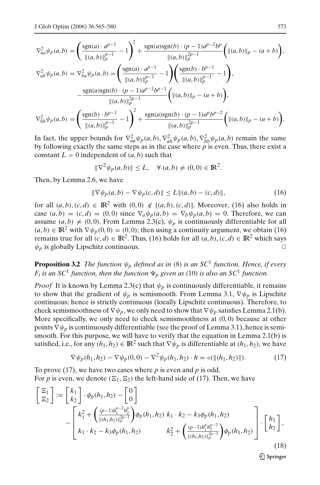$$
\nabla_{aa}^{2} \psi_{p}(a,b) = \left(\frac{\text{sgn}(a) \cdot a^{p-1}}{\|(a,b)\|_{p}^{p-1}} - 1\right)^{2} + \frac{\text{sgn}(a)\text{sgn}(b) \cdot (p-1)a^{p-2}b^{p}}{\|(a,b)\|_{p}^{2p-1}} \left(\|(a,b)\|_{p} - (a+b)\right),
$$
  

$$
\nabla_{ab}^{2} \psi_{p}(a,b) = \nabla_{ba}^{2} \psi_{p}(a,b) = \left(\frac{\text{sgn}(a) \cdot a^{p-1}}{\|(a,b)\|_{p}^{p-1}} - 1\right) \left(\frac{\text{sgn}(b) \cdot b^{p-1}}{\|(a,b)\|_{p}^{p-1}} - 1\right),
$$
  

$$
- \frac{\text{sgn}(a)\text{sgn}(b) \cdot (p-1)a^{p-1}b^{p-1}}{\|(a,b)\|_{p}^{2p-1}} \left(\|(a,b)\|_{p} - (a+b)\right),
$$
  

$$
\nabla_{bb}^{2} \psi_{p}(a,b) = \left(\frac{\text{sgn}(b) \cdot b^{p-1}}{\|(a,b)\|_{p}^{p-1}} - 1\right)^{2} + \frac{\text{sgn}(a)\text{sgn}(b) \cdot (p-1)a^{p}b^{p-2}}{\|(a,b)\|_{p}^{2p-1}} \left(\|(a,b)\|_{p} - (a+b)\right).
$$

In fact, the upper bounds for  $\nabla^2_{aa} \psi_p(a, b), \nabla^2_{ab} \psi_p(a, b), \nabla^2_{bb} \psi_p(a, b)$  remain the same by following exactly the same steps as in the case where *p* is even. Thus, there exist a constant  $L > 0$  independent of  $(a, b)$  such that

$$
\|\nabla^2 \psi_p(a,b)\| \le L, \quad \forall (a,b) \ne (0,0) \in \mathbb{R}^2.
$$

Then, by Lemma 2.6, we have

$$
\|\nabla \psi_p(a, b) - \nabla \psi_p(c, d)\| \le L\|(a, b) - (c, d)\|,
$$
\n(16)

for all  $(a, b), (c, d) \in \mathbb{R}^2$  with  $(0, 0) \notin [(a, b), (c, d)]$ . Moreover, (16) also holds in case  $(a, b) = (c, d) = (0, 0)$  since  $\nabla_a \psi_p(a, b) = \nabla_b \psi_p(a, b) = 0$ . Therefore, we can assume  $(a, b) \neq (0, 0)$ . From Lemma 2.3(c),  $\psi_p$  is continuously differentiable for all  $(a, b) \in \mathbb{R}^2$  with  $\nabla \psi_p(0, 0) = (0, 0)$ ; then using a continuity argument, we obtain (16) remains true for all  $(c, d) \in \mathbb{R}^2$ . Thus, (16) holds for all  $(a, b)$ ,  $(c, d) \in \mathbb{R}^2$  which says  $\psi_p$  is globally Lipschitz continuous.  $\Box$ 

**Proposition 3.2** *The function*  $\psi_p$  *defined as in* (8) *is an SC*<sup>1</sup> *function. Hence, if every F<sub>i</sub>* is an SC<sup>1</sup> function, then the function  $\Psi_p$  given as (10) is also an SC<sup>1</sup> function.

*Proof* It is known by Lemma 2.3(c) that  $\psi_p$  is continuously differentiable, it remains to show that the gradient of  $\psi_p$  is semismooth. From Lemma 3.1,  $\nabla \psi_p$  is Lipschitz continuous; hence is strictly continuous (locally Lipschitz continuous). Therefore, to check semismoothness of  $\nabla \psi_p$ , we only need to show that  $\nabla \psi_p$  satisfies Lemma 2.1(b). More specifically, we only need to check semismoothness at  $(0, 0)$  because at other points  $\nabla \psi_p$  is continuously differentiable (see the proof of Lemma 3.1), hence is semismooth. For this purpose, we will have to verify that the equation in Lemma  $2.1(b)$  is satisfied, i.e., for any  $(h_1, h_2) \in \mathbb{R}^2$  such that  $\nabla \psi_p$  is differentiable at  $(h_1, h_2)$ , we have

$$
\nabla \psi_p(h_1, h_2) - \nabla \psi_p(0, 0) - \nabla^2 \psi_p(h_1, h_2) \cdot h = o(\|(h_1, h_2)\|). \tag{17}
$$

To prove (17), we have two cases where *p* is even and *p* is odd. For p is even, we denote  $(\Xi_1, \Xi_2)$  the left-hand side of (17). Then, we have

$$
\begin{bmatrix} \Xi_1 \\ \Xi_2 \end{bmatrix} := \begin{bmatrix} k_1 \\ k_2 \end{bmatrix} \cdot \phi_p(h_1, h_2) - \begin{bmatrix} 0 \\ 0 \end{bmatrix} \n- \begin{bmatrix} k_1^2 + \left( \frac{(p-1)h_1^{p-2}h_2^p}{\|(h_1, h_2)\|_p^{2p-1}} \right) \phi_p(h_1, h_2) & k_1 \cdot k_2 - k_3 \phi_p(h_1, h_2) \nk_1 \cdot k_2 - k_3 \phi_p(h_1, h_2) & k_2^2 + \left( \frac{(p-1)h_1^p h_2^{p-2}}{\|(h_1, h_2)\|_p^{2p-1}} \right) \phi_p(h_1, h_2) \end{bmatrix} \cdot \begin{bmatrix} h_1 \\ h_2 \end{bmatrix},
$$
\n(18)

 $\textcircled{2}$  Springer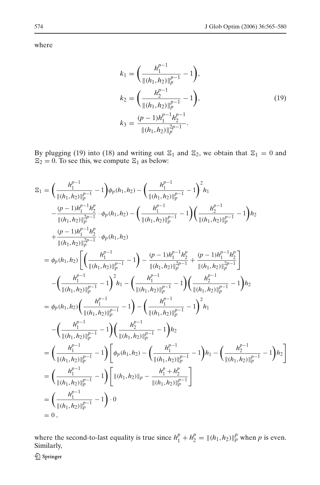where

$$
k_1 = \left(\frac{h_1^{p-1}}{\|(h_1, h_2)\|_p^{p-1}} - 1\right),
$$
  
\n
$$
k_2 = \left(\frac{h_2^{p-1}}{\|(h_1, h_2)\|_p^{p-1}} - 1\right),
$$
  
\n
$$
k_3 = \frac{(p-1)h_1^{p-1}h_2^{p-1}}{\|(h_1, h_2)\|_p^{2p-1}}.
$$
\n(19)

By plugging (19) into (18) and writing out  $\Xi_1$  and  $\Xi_2$ , we obtain that  $\Xi_1 = 0$  and  $\Xi_2 = 0$ . To see this, we compute  $\Xi_1$  as below:

$$
z_{1} = \left(\frac{h_{1}^{p-1}}{\|(h_{1},h_{2})\|_{p}^{p-1}} - 1\right) \phi_{p}(h_{1},h_{2}) - \left(\frac{h_{1}^{p-1}}{\|(h_{1},h_{2})\|_{p}^{p-1}} - 1\right)^{2} h_{1} - \frac{(p-1)h_{1}^{p-1}h_{2}^{p}}{\|(h_{1},h_{2})\|_{p}^{2p-1}} \cdot \phi_{p}(h_{1},h_{2}) - \left(\frac{h_{1}^{p-1}}{\|(h_{1},h_{2})\|_{p}^{p-1}} - 1\right) \left(\frac{h_{2}^{p-1}}{\|(h_{1},h_{2})\|_{p}^{2p-1}} - 1\right) h_{2} + \frac{(p-1)h_{1}^{p-1}h_{2}^{p}}{\|(h_{1},h_{2})\|_{p}^{2p-1}} \cdot \phi_{p}(h_{1},h_{2}) = \phi_{p}(h_{1},h_{2}) \left[\left(\frac{h_{1}^{p-1}}{\|(h_{1},h_{2})\|_{p}^{p-1}} - 1\right) - \frac{(p-1)h_{1}^{p-1}h_{2}^{p}}{\|(h_{1},h_{2})\|_{p}^{2p-1}} + \frac{(p-1)h_{1}^{p-1}h_{2}^{p}}{\|(h_{1},h_{2})\|_{p}^{2p-1}}\right] - \left(\frac{h_{1}^{p-1}}{\|(h_{1},h_{2})\|_{p}^{p-1}} - 1\right)^{2} h_{1} - \left(\frac{h_{1}^{p-1}}{\|(h_{1},h_{2})\|_{p}^{2p-1}} - 1\right) \left(\frac{h_{2}^{p-1}}{\|(h_{1},h_{2})\|_{p}^{2p-1}} - 1\right) h_{2} = \phi_{p}(h_{1},h_{2}) \left(\frac{h_{1}^{p-1}}{\|(h_{1},h_{2})\|_{p}^{p-1}} - 1\right) - \left(\frac{h_{1}^{p-1}}{\|(h_{1},h_{2})\|_{p}^{p-1}} - 1\right)^{2} h_{1} - \left(\frac{h_{1}^{p-1}}{\|(h_{1},h_{2})\|_{p}^{p-1}} - 1\right) \left
$$

where the second-to-last equality is true since  $h_1^p + h_2^p = ||(h_1, h_2)||_p^p$  when *p* is even. Similarly,

2 Springer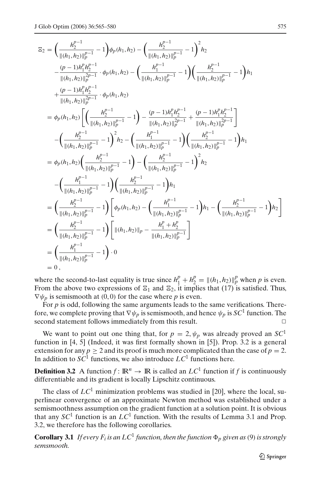$$
E_2 = \left(\frac{h_2^{p-1}}{\|(h_1,h_2)\|_p^{p-1}}-1\right)\phi_p(h_1,h_2) - \left(\frac{h_2^{p-1}}{\|(h_1,h_2)\|_p^{p-1}}-1\right)^2h_2
$$
  
\n
$$
-\frac{(p-1)h_1^p h_2^{p-1}}{\|(h_1,h_2)\|_p^{2p-1}}\cdot\phi_p(h_1,h_2) - \left(\frac{h_1^{p-1}}{\|(h_1,h_2)\|_p^{p-1}}-1\right)\left(\frac{h_2^{p-1}}{\|(h_1,h_2)\|_p^{p-1}}-1\right)h_1
$$
  
\n
$$
+\frac{(p-1)h_1^p h_2^{p-1}}{\|(h_1,h_2)\|_p^{2p-1}}\cdot\phi_p(h_1,h_2)
$$
  
\n
$$
= \phi_p(h_1,h_2)\left[\left(\frac{h_2^{p-1}}{\|(h_1,h_2)\|_p^{p-1}}-1\right)-\frac{(p-1)h_1^p h_2^{p-1}}{\|(h_1,h_2)\|_p^{2p-1}}+\frac{(p-1)h_1^p h_2^{p-1}}{\|(h_1,h_2)\|_p^{2p-1}}\right]
$$
  
\n
$$
-\left(\frac{h_2^{p-1}}{\|(h_1,h_2)\|_p^{p-1}}-1\right)^2h_2-\left(\frac{h_1^{p-1}}{\|(h_1,h_2)\|_p^{p-1}}-1\right)\left(\frac{h_2^{p-1}}{\|(h_1,h_2)\|_p^{p-1}}-1\right)h_1
$$
  
\n
$$
= \phi_p(h_1,h_2)\left(\frac{h_2^{p-1}}{\|(h_1,h_2)\|_p^{p-1}}-1\right)-\left(\frac{h_2^{p-1}}{\|(h_1,h_2)\|_p^{p-1}}-1\right)^2h_2
$$
  
\n
$$
-\left(\frac{h_1^{p-1}}{\|(h_1,h_2)\|_p^{p-1}}-1\right)\left[\phi_p(h_1,h_2)-\left(\frac{h_1^{p-1}}{\|(h_1,h_2)\|_p^{p-1}}-1\right)h_1-\left(\frac{h_2^{p-1}}{\|(h_1,h_2)\|
$$

where the second-to-last equality is true since  $h_1^p + h_2^p = ||(h_1, h_2)||_p^p$  when *p* is even. From the above two expressions of  $\Xi_1$  and  $\Xi_2$ , it implies that (17) is satisfied. Thus,  $\nabla \psi_p$  is semismooth at (0,0) for the case where *p* is even.

For *p* is odd, following the same arguments leads to the same verifications. Therefore, we complete proving that  $\nabla \psi_p$  is semismooth, and hence  $\psi_p$  is  $SC^1$  function. The second statement follows immediately from this result.

We want to point out one thing that, for  $p = 2$ ,  $\psi_p$  was already proved an *SC*<sup>1</sup> function in [4, 5] (Indeed, it was first formally shown in [5]). Prop. 3.2 is a general extension for any  $p \ge 2$  and its proof is much more complicated than the case of  $p = 2$ . In addition to  $SC<sup>1</sup>$  functions, we also introduce  $LC<sup>1</sup>$  functions here.

**Definition 3.2** A function  $f: \mathbb{R}^n \to \mathbb{R}$  is called an  $LC^1$  function if f is continuously differentiable and its gradient is locally Lipschitz continuous.

The class of  $LC^1$  minimization problems was studied in [20], where the local, superlinear convergence of an approximate Newton method was established under a semismoothness assumption on the gradient function at a solution point. It is obvious that any  $SC<sup>1</sup>$  function is an  $LC<sup>1</sup>$  function. With the results of Lemma 3.1 and Prop. 3.2, we therefore has the following corollaries.

**Corollary 3.1** *If every*  $F_i$  *is an*  $LC^1$  *function, then the function*  $\Phi_p$  *given as* (9) *is strongly semsmooth.*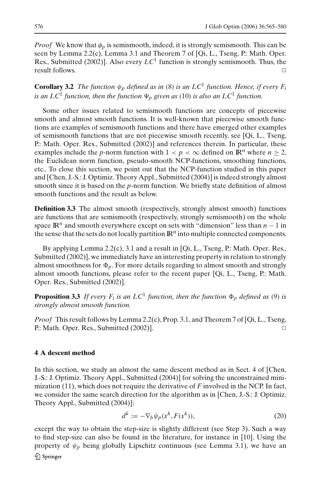*Proof* We know that  $\phi_p$  is semismooth, indeed, it is strongly semismooth. This can be seen by Lemma 2.2(c), Lemma 3.1 and Theorem 7 of [Qi, L., Tseng, P.: Math. Oper. Res., Submitted (2002)]. Also every  $LC^1$  function is strongly semismooth. Thus, the result follows.

**Corollary 3.2** *The function*  $\psi_p$  *defined as in* (8) *is an LC*<sup>1</sup> *function. Hence, if every*  $F_i$ *is an LC*<sup>1</sup> *function, then the function*  $\Psi_p$  *given as* (10) *is also an LC*<sup>1</sup> *function.* 

Some other issues related to semismooth functions are concepts of piecewise smooth and almost smooth functions. It is well-known that piecewise smooth functions are examples of semismooth functions and there have emerged other examples of semismooth functions that are not piecewise smooth recently, see  $[Q_i, L, T \text{seng}]$ , P.: Math. Oper. Res., Submitted (2002)] and references therein. In particular, these examples include the *p*-norm function with  $1 < p < \infty$  defined on  $\mathbb{R}^n$  where  $n \geq 2$ , the Euclidean norm function, pseudo-smooth NCP-functions, smoothing functions, etc.. To close this section, we point out that the NCP-function studied in this paper and [Chen, J.-S.: J. Optimiz. Theory Appl., Submitted (2004)] is indeed strongly almost smooth since it is based on the *p*-norm function. We briefly state definition of almost smooth functions and the result as below.

**Definition 3.3** The almost smooth (respectively, strongly almost smooth) functions are functions that are semismooth (respectively, strongly semismooth) on the whole space IR*<sup>n</sup>* and smooth everywhere except on sets with "dimension" less than *n* − 1 in the sense that the sets do not locally partition  $\mathbb{R}^n$  into multiple connected components.

By applying Lemma 2.2(c), 3.1 and a result in [Qi, L., Tseng, P.: Math. Oper. Res., Submitted (2002)], we immediately have an interesting property in relation to strongly almost smoothness for  $\Phi_p$ . For more details regarding to almost smooth and strongly almost smooth functions, please refer to the recent paper [Qi, L., Tseng, P.: Math. Oper. Res., Submitted (2002)].

**Proposition 3.3** *If every*  $F_i$  *is an*  $LC^1$  *function, then the function*  $\Phi_p$  *defined as* (9) *is strongly almost smooth function.*

*Proof* This result follows by Lemma 2.2(c), Prop. 3.1, and Theorem 7 of [Qi, L., Tseng, P.: Math. Oper. Res., Submitted (2002)].

## **4 A descent method**

In this section, we study an almost the same descent method as in Sect. 4 of [Chen, J.-S.: J. Optimiz. Theory Appl., Submitted (2004)] for solving the unconstrained minimization (11), which does not require the derivative of *F* involved in the NCP. In fact, we consider the same search direction for the algorithm as in [Chen, J.-S.: J. Optimiz. Theory Appl., Submitted (2004)]:

$$
d^k := -\nabla_b \psi_p(x^k, F(x^k)),\tag{20}
$$

except the way to obtain the step-size is slightly different (see Step 3). Such a way to find step-size can also be found in the literature, for instance in [10]. Using the property of  $\psi_p$  being globally Lipschitz continuous (see Lemma 3.1), we have an  $\mathcal{Q}$  Springer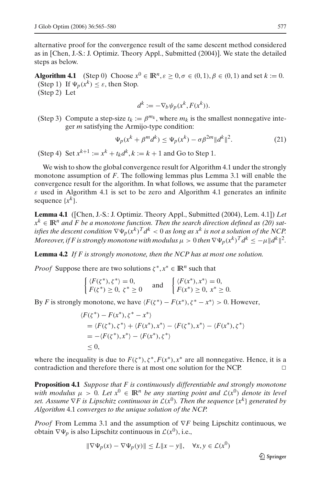alternative proof for the convergence result of the same descent method considered as in [Chen, J.-S.: J. Optimiz. Theory Appl., Submitted (2004)]. We state the detailed steps as below.

**Algorithm 4.1** (Step 0) Choose  $x^0 \in \mathbb{R}^n$ ,  $\varepsilon \ge 0$ ,  $\sigma \in (0,1)$ ,  $\beta \in (0,1)$  and set  $k := 0$ . (Step 1) If  $\Psi_p(x^k) \leq \varepsilon$ , then Stop. (Step 2) Let

$$
d^k := -\nabla_b \psi_p(x^k, F(x^k)).
$$

(Step 3) Compute a step-size  $t_k := \beta^{m_k}$ , where  $m_k$  is the smallest nonnegative integer *m* satisfying the Armijo-type condition:

$$
\Psi_p(x^k + \beta^m d^k) \le \Psi_p(x^k) - \sigma \beta^{2m} \|d^k\|^2.
$$
 (21)

(Step 4) Set  $x^{k+1} := x^k + t_k d^k$ ,  $k := k + 1$  and Go to Step 1.

We wish to show the global convergence result for Algorithm 4.1 under the strongly monotone assumption of *F*. The following lemmas plus Lemma 3.1 will enable the convergence result for the algorithm. In what follows, we assume that the parameter  $\varepsilon$  used in Algorithm 4.1 is set to be zero and Algorithm 4.1 generates an infinite sequence  $\{x^k\}$ .

**Lemma 4.1** ([Chen, J.-S.: J. Optimiz. Theory Appl., Submitted (2004), Lem. 4.1]) *Let*  $x^k \in \mathbb{R}^n$  and F be a monotone function. Then the search direction defined as (20) sat*isfies the descent condition*  $\nabla \Psi_p(x^k)^\mathrm{T} d^k < 0$  as long as  $x^k$  *is not a solution of the NCP. Moreover, if F is strongly monotone with modulus*  $\mu > 0$  *then*  $\nabla \Psi_p(x^k)^T d^k \leq -\mu \|d^k\|^2$ .

**Lemma 4.2** *If F is strongly monotone, then the NCP has at most one solution.*

*Proof* Suppose there are two solutions  $\zeta^*$ ,  $x^* \in \mathbb{R}^n$  such that

$$
\begin{cases} \langle F(\zeta^*), \zeta^* \rangle = 0, \\ F(\zeta^*) \ge 0, \ \zeta^* \ge 0 \end{cases} \text{ and } \begin{cases} \langle F(x^*), x^* \rangle = 0, \\ F(x^*) \ge 0, \ x^* \ge 0. \end{cases}
$$

By *F* is strongly monotone, we have  $\langle F(\zeta^*) - F(x^*) , \zeta^* - x^* \rangle > 0$ . However,

$$
\langle F(\zeta^*) - F(x^*), \zeta^* - x^* \rangle
$$
  
=  $\langle F(\zeta^*), \zeta^* \rangle + \langle F(x^*), x^* \rangle - \langle F(\zeta^*), x^* \rangle - \langle F(x^*), \zeta^* \rangle$   
=  $-\langle F(\zeta^*), x^* \rangle - \langle F(x^*), \zeta^* \rangle$   
 $\leq 0,$ 

where the inequality is due to  $F(\zeta^*), \zeta^*, F(x^*), x^*$  are all nonnegative. Hence, it is a contradiction and therefore there is at most one solution for the NCP.

**Proposition 4.1** *Suppose that F is continuously differentiable and strongly monotone with modulus*  $\mu > 0$ *. Let*  $x^0 \in \mathbb{R}^n$  *be any starting point and*  $\mathcal{L}(x^0)$  *denote its level set.* Assume  $\nabla F$  is Lipschitz continuous in  $\mathcal{L}(x^0)$ . Then the sequence  $\{x^k\}$  generated by *Algorithm* 4.1 *converges to the unique solution of the NCP.*

*Proof* From Lemma 3.1 and the assumption of  $∇F$  being Lipschitz continuous, we obtain  $\nabla \Psi_p$  is also Lipschitz continuous in  $\mathcal{L}(x^0)$ , i.e.,

$$
\|\nabla \Psi_p(x) - \nabla \Psi_p(y)\| \le L\|x - y\|, \quad \forall x, y \in \mathcal{L}(x^0)
$$

 $\textcircled{2}$  Springer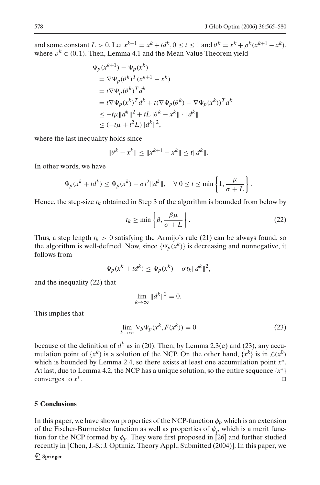and some constant  $L > 0$ . Let  $x^{k+1} = x^k + td^k$ ,  $0 \le t \le 1$  and  $\theta^k = x^k + \rho^k(x^{k+1} - x^k)$ , where  $\rho^k \in (0, 1)$ . Then, Lemma 4.1 and the Mean Value Theorem yield

$$
\Psi_p(x^{k+1}) - \Psi_p(x^k)
$$
  
\n
$$
= \nabla \Psi_p(\theta^k)^\top (x^{k+1} - x^k)
$$
  
\n
$$
= t \nabla \Psi_p(\theta^k)^\top d^k
$$
  
\n
$$
= t \nabla \Psi_p(x^k)^\top d^k + t (\nabla \Psi_p(\theta^k) - \nabla \Psi_p(x^k))^\top d^k
$$
  
\n
$$
\leq -t\mu \|d^k\|^2 + tL \|\theta^k - x^k\| \cdot \|d^k\|
$$
  
\n
$$
\leq (-t\mu + t^2L) \|d^k\|^2,
$$

where the last inequality holds since

$$
\|\theta^k - x^k\| \le \|x^{k+1} - x^k\| \le t\|d^k\|.
$$

In other words, we have

$$
\Psi_p(x^k + td^k) \le \Psi_p(x^k) - \sigma t^2 \|d^k\|, \quad \forall \ 0 \le t \le \min\left\{1, \frac{\mu}{\sigma + L}\right\}.
$$

Hence, the step-size  $t_k$  obtained in Step 3 of the algorithm is bounded from below by

$$
t_k \ge \min\left\{\beta, \frac{\beta \mu}{\sigma + L}\right\}.
$$
 (22)

Thus, a step length  $t_k > 0$  satisfying the Armijo's rule (21) can be always found, so the algorithm is well-defined. Now, since  ${\Psi_p(x^k)}$  is decreasing and nonnegative, it follows from

$$
\Psi_p(x^k + td^k) \le \Psi_p(x^k) - \sigma t_k \|d^k\|^2,
$$

and the inequality (22) that

$$
\lim_{k \to \infty} \|d^k\|^2 = 0.
$$

This implies that

$$
\lim_{k \to \infty} \nabla_b \Psi_p(x^k, F(x^k)) = 0 \tag{23}
$$

because of the definition of  $d^k$  as in (20). Then, by Lemma 2.3(e) and (23), any accumulation point of  $\{x^k\}$  is a solution of the NCP. On the other hand,  $\{x^k\}$  is in  $\mathcal{L}(x^0)$ which is bounded by Lemma 2.4, so there exists at least one accumulation point *x*∗. At last, due to Lemma 4.2, the NCP has a unique solution, so the entire sequence  $\{x^*\}$ converges to  $x^*$ .  $\Box$ 

## **5 Conclusions**

In this paper, we have shown properties of the NCP-function  $\phi_p$  which is an extension of the Fischer-Burmeister function as well as properties of  $\psi_p$  which is a merit function for the NCP formed by  $\phi_p$ . They were first proposed in [26] and further studied recently in [Chen, J.-S.: J. Optimiz. Theory Appl., Submitted (2004)]. In this paper, we

 $\mathcal{Q}$  Springer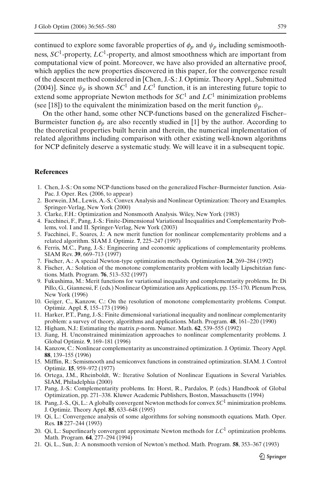continued to explore some favorable properties of  $\phi_p$  and  $\psi_p$  including semismoothness, *SC*1-property, *LC*1-property, and almost smoothness which are important from computational view of point. Moreover, we have also provided an alternative proof, which applies the new properties discovered in this paper, for the convergence result of the descent method considered in [Chen, J.-S.: J. Optimiz. Theory Appl., Submitted (2004)]. Since  $\psi_p$  is shown *SC*<sup>1</sup> and *LC*<sup>1</sup> function, it is an interesting future topic to extend some appropriate Newton methods for *SC*<sup>1</sup> and *LC*<sup>1</sup> minimization problems (see [18]) to the equivalent the minimization based on the merit function  $\psi_p$ .

On the other hand, some other NCP-functions based on the generalized Fischer– Burmeister function  $\phi_p$  are also recently studied in [1] by the author. According to the theoretical properties built herein and therein, the numerical implementation of related algorithms including comparison with other existing well-known algorithms for NCP definitely deserve a systematic study. We will leave it in a subsequent topic.

### **References**

- 1. Chen, J.-S.: On some NCP-functions based on the generalized Fischer–Burmeister function. Asia-Pac. J. Oper. Res. (2006, to appear)
- 2. Borwein, J.M., Lewis, A.-S.: Convex Analysis and Nonlinear Optimization: Theory and Examples. Springer-Verlag, New York (2000)
- 3. Clarke, F.H.: Optimization and Nonsmooth Analysis. Wiley, New York (1983)
- 4. Facchinei, F., Pang, J.-S.: Finite-Dimensional Variational Inequalities and Complementarity Problems, vol. I and II. Springer-Verlag, New York (2003)
- 5. Facchinei, F., Soares, J.: A new merit function for nonlinear complementarity problems and a related algorithm. SIAM J. Optimiz. **7**, 225–247 (1997)
- 6. Ferris, M.C., Pang, J.-S.: Engineering and economic applications of complementarity problems. SIAM Rev. **39**, 669–713 (1997)
- 7. Fischer, A.: A special Newton-type optimization methods. Optimization **24**, 269–284 (1992)
- 8. Fischer, A.: Solution of the monotone complementarity problem with locally Lipschitzian functions. Math. Program. **76**, 513–532 (1997)
- 9. Fukushima, M.: Merit functions for variational inequality and complementarity problems. In: Di Pillo, G., Giannessi, F. (eds.) Nonlinear Optimization ans Applications, pp. 155–170. Plenum Press, New York (1996)
- 10. Geiger, C., Kanzow, C.: On the resolution of monotone complementarity problems. Comput. Optimiz. Appl. **5**, 155–173 (1996)
- 11. Harker, P.T., Pang, J.-S.: Finite dimensional variational inequality and nonlinear complementarity problem: a survey of theory, algorithms and applications. Math. Program. **48**, 161–220 (1990)
- 12. Higham, N.J.: Estimating the matrix *p*-norm. Numer. Math. **62**, 539–555 (1992)
- 13. Jiang, H. Unconstrained minimization approaches to nonlinear complementarity problems. J. Global Optimiz. **9**, 169–181 (1996)
- 14. Kanzow, C.: Nonlinear complementarity as unconstrained optimization. J. Optimiz. Theory Appl. **88**, 139–155 (1996)
- 15. Mifflin, R.: Semismooth and semiconvex functions in constrained optimization. SIAM. J. Control Optimiz. **15**, 959–972 (1977)
- 16. Ortega, J.M., Rheinboldt, W.: Iterative Solution of Nonlinear Equations in Several Variables. SIAM, Philadelphia (2000)
- 17. Pang, J.-S.: Complementarity problems. In: Horst, R., Pardalos, P. (eds.) Handbook of Global Optimization, pp. 271–338. Kluwer Academic Publishers, Boston, Massachusetts (1994)
- 18. Pang, J.-S., Qi, L.: A globally convergent Newton methods for convex *SC*<sup>1</sup> minimization problems. J. Optimiz. Theory Appl. **85**, 633–648 (1995)
- 19. Qi, L.: Convergence analysis of some algorithms for solving nonsmooth equations. Math. Oper. Res. **18** 227–244 (1993)
- 20. Qi, L.: Superlinearly convergent approximate Newton methods for *LC*<sup>1</sup> optimization problems. Math. Program. **64**, 277–294 (1994)
- 21. Qi, L., Sun, J.: A nonsmooth version of Newton's method. Math. Program. **58**, 353–367 (1993)